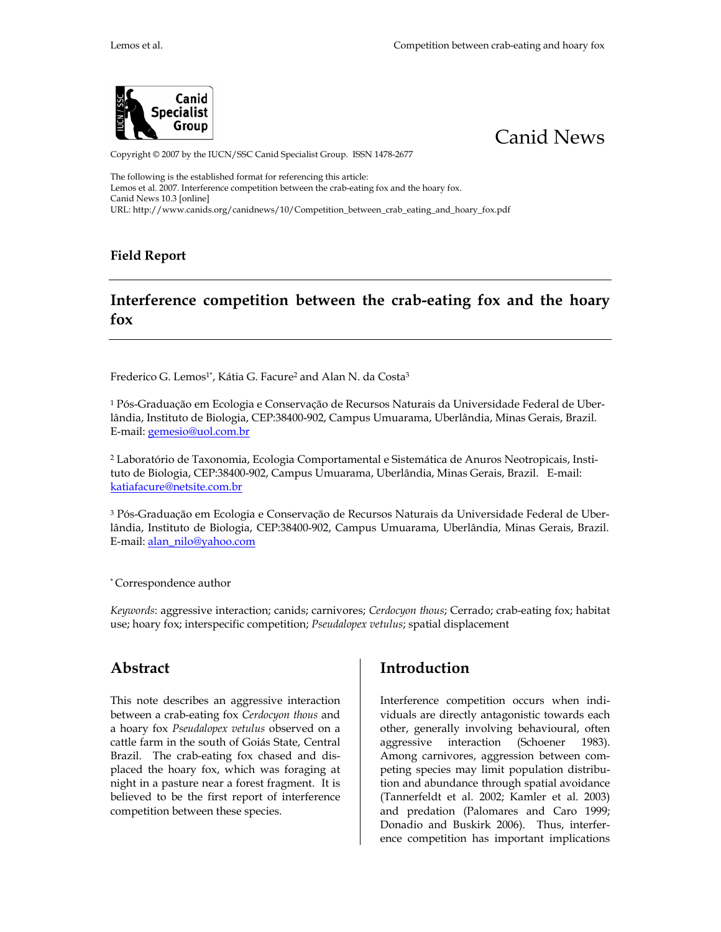



Copyright © 2007 by the IUCN/SSC Canid Specialist Group. ISSN 1478-2677

The following is the established format for referencing this article: Lemos et al. 2007. Interference competition between the crab-eating fox and the hoary fox. Canid News 10.3 [online] URL: http://www.canids.org/canidnews/10/Competition\_between\_crab\_eating\_and\_hoary\_fox.pdf

#### **Field Report**

## **Interference competition between the crab-eating fox and the hoary fox**

Frederico G. Lemos<sup>1\*</sup>, Kátia G. Facure<sup>2</sup> and Alan N. da Costa<sup>3</sup>

1 Pós-Graduação em Ecologia e Conservação de Recursos Naturais da Universidade Federal de Uberlândia, Instituto de Biologia, CEP:38400-902, Campus Umuarama, Uberlândia, Minas Gerais, Brazil. E-mail: gemesio@uol.com.br

2 Laboratório de Taxonomia, Ecologia Comportamental e Sistemática de Anuros Neotropicais, Instituto de Biologia, CEP:38400-902, Campus Umuarama, Uberlândia, Minas Gerais, Brazil. E-mail: katiafacure@netsite.com.br

3 Pós-Graduação em Ecologia e Conservação de Recursos Naturais da Universidade Federal de Uberlândia, Instituto de Biologia, CEP:38400-902, Campus Umuarama, Uberlândia, Minas Gerais, Brazil. E-mail: alan\_nilo@yahoo.com

\* Correspondence author

*Keywords*: aggressive interaction; canids; carnivores; *Cerdocyon thous*; Cerrado; crab-eating fox; habitat use; hoary fox; interspecific competition; *Pseudalopex vetulus*; spatial displacement

#### **Abstract**

This note describes an aggressive interaction between a crab-eating fox *Cerdocyon thous* and a hoary fox *Pseudalopex vetulus* observed on a cattle farm in the south of Goiás State, Central Brazil. The crab-eating fox chased and displaced the hoary fox, which was foraging at night in a pasture near a forest fragment. It is believed to be the first report of interference competition between these species.

### **Introduction**

Interference competition occurs when individuals are directly antagonistic towards each other, generally involving behavioural, often aggressive interaction (Schoener 1983). Among carnivores, aggression between competing species may limit population distribution and abundance through spatial avoidance (Tannerfeldt et al. 2002; Kamler et al. 2003) and predation (Palomares and Caro 1999; Donadio and Buskirk 2006). Thus, interference competition has important implications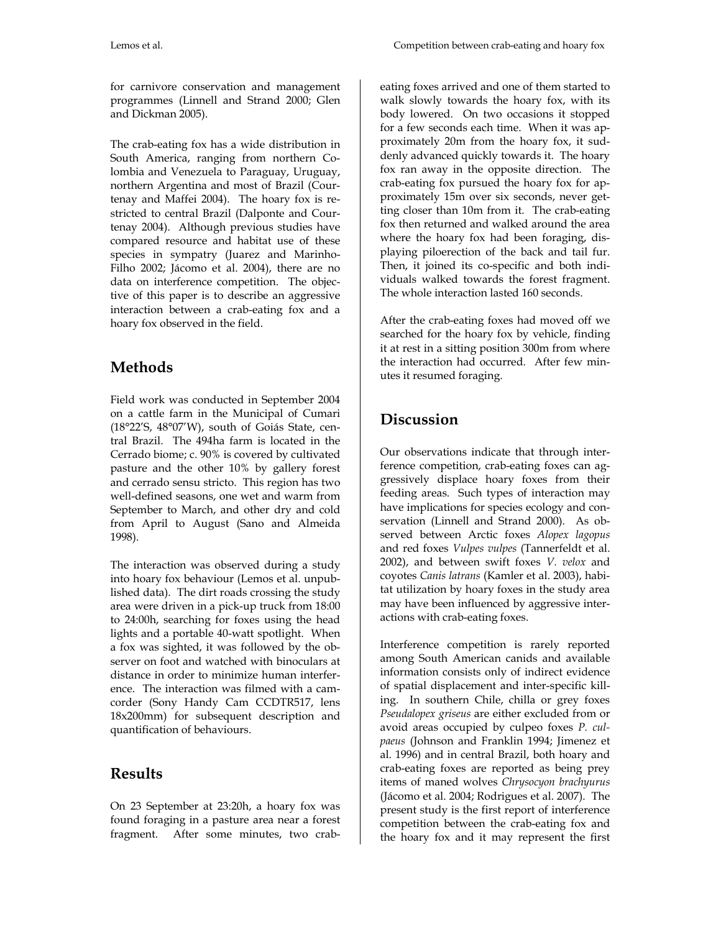for carnivore conservation and management programmes (Linnell and Strand 2000; Glen and Dickman 2005).

The crab-eating fox has a wide distribution in South America, ranging from northern Colombia and Venezuela to Paraguay, Uruguay, northern Argentina and most of Brazil (Courtenay and Maffei 2004). The hoary fox is restricted to central Brazil (Dalponte and Courtenay 2004). Although previous studies have compared resource and habitat use of these species in sympatry (Juarez and Marinho-Filho 2002; Jácomo et al. 2004), there are no data on interference competition. The objective of this paper is to describe an aggressive interaction between a crab-eating fox and a hoary fox observed in the field.

# **Methods**

Field work was conducted in September 2004 on a cattle farm in the Municipal of Cumari (18°22'S, 48°07'W), south of Goiás State, central Brazil. The 494ha farm is located in the Cerrado biome; c. 90% is covered by cultivated pasture and the other 10% by gallery forest and cerrado sensu stricto. This region has two well-defined seasons, one wet and warm from September to March, and other dry and cold from April to August (Sano and Almeida 1998).

The interaction was observed during a study into hoary fox behaviour (Lemos et al. unpublished data). The dirt roads crossing the study area were driven in a pick-up truck from 18:00 to 24:00h, searching for foxes using the head lights and a portable 40-watt spotlight. When a fox was sighted, it was followed by the observer on foot and watched with binoculars at distance in order to minimize human interference. The interaction was filmed with a camcorder (Sony Handy Cam CCDTR517, lens 18x200mm) for subsequent description and quantification of behaviours.

## **Results**

On 23 September at 23:20h, a hoary fox was found foraging in a pasture area near a forest fragment. After some minutes, two crabeating foxes arrived and one of them started to walk slowly towards the hoary fox, with its body lowered. On two occasions it stopped for a few seconds each time. When it was approximately 20m from the hoary fox, it suddenly advanced quickly towards it. The hoary fox ran away in the opposite direction. The crab-eating fox pursued the hoary fox for approximately 15m over six seconds, never getting closer than 10m from it. The crab-eating fox then returned and walked around the area where the hoary fox had been foraging, displaying piloerection of the back and tail fur. Then, it joined its co-specific and both individuals walked towards the forest fragment. The whole interaction lasted 160 seconds.

After the crab-eating foxes had moved off we searched for the hoary fox by vehicle, finding it at rest in a sitting position 300m from where the interaction had occurred. After few minutes it resumed foraging.

# **Discussion**

Our observations indicate that through interference competition, crab-eating foxes can aggressively displace hoary foxes from their feeding areas. Such types of interaction may have implications for species ecology and conservation (Linnell and Strand 2000). As observed between Arctic foxes *Alopex lagopus* and red foxes *Vulpes vulpes* (Tannerfeldt et al. 2002), and between swift foxes *V. velox* and coyotes *Canis latrans* (Kamler et al. 2003), habitat utilization by hoary foxes in the study area may have been influenced by aggressive interactions with crab-eating foxes.

Interference competition is rarely reported among South American canids and available information consists only of indirect evidence of spatial displacement and inter-specific killing. In southern Chile, chilla or grey foxes *Pseudalopex griseus* are either excluded from or avoid areas occupied by culpeo foxes *P. culpaeus* (Johnson and Franklin 1994; Jimenez et al. 1996) and in central Brazil, both hoary and crab-eating foxes are reported as being prey items of maned wolves *Chrysocyon brachyurus* (Jácomo et al. 2004; Rodrigues et al. 2007). The present study is the first report of interference competition between the crab-eating fox and the hoary fox and it may represent the first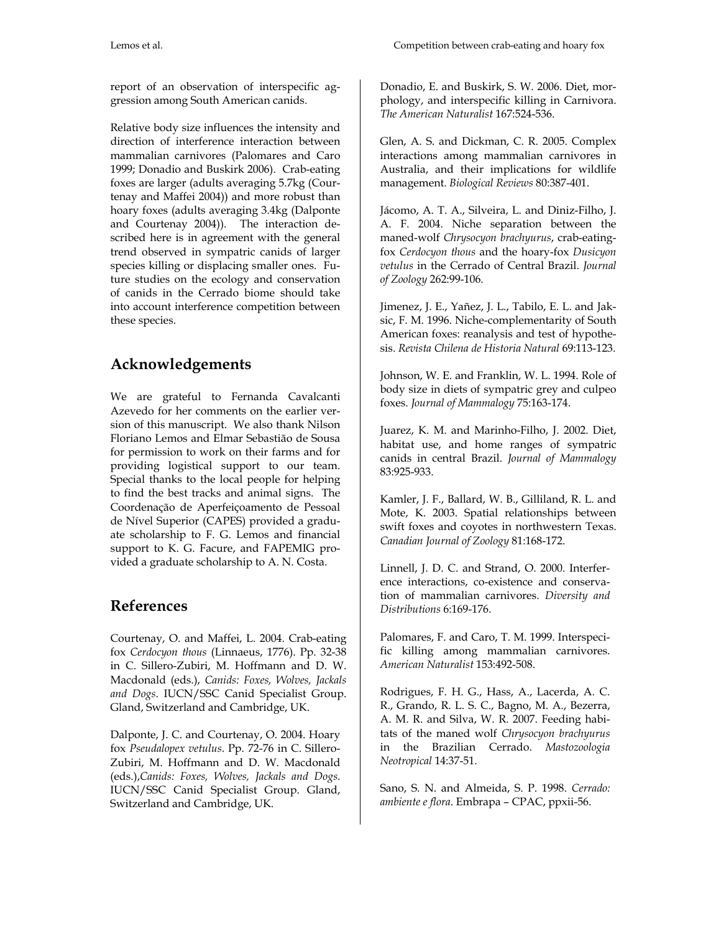report of an observation of interspecific aggression among South American canids.

Relative body size influences the intensity and direction of interference interaction between mammalian carnivores (Palomares and Caro 1999; Donadio and Buskirk 2006). Crab-eating foxes are larger (adults averaging 5.7kg (Courtenay and Maffei 2004)) and more robust than hoary foxes (adults averaging 3.4kg (Dalponte and Courtenay 2004)). The interaction described here is in agreement with the general trend observed in sympatric canids of larger species killing or displacing smaller ones. Future studies on the ecology and conservation of canids in the Cerrado biome should take into account interference competition between these species.

## **Acknowledgements**

We are grateful to Fernanda Cavalcanti Azevedo for her comments on the earlier version of this manuscript. We also thank Nilson Floriano Lemos and Elmar Sebastião de Sousa for permission to work on their farms and for providing logistical support to our team. Special thanks to the local people for helping to find the best tracks and animal signs. The Coordenação de Aperfeiçoamento de Pessoal de Nível Superior (CAPES) provided a graduate scholarship to F. G. Lemos and financial support to K. G. Facure, and FAPEMIG provided a graduate scholarship to A. N. Costa.

### **References**

Courtenay, O. and Maffei, L. 2004. Crab-eating fox *Cerdocyon thous* (Linnaeus, 1776). Pp. 32-38 in C. Sillero-Zubiri, M. Hoffmann and D. W. Macdonald (eds.), *Canids: Foxes, Wolves, Jackals and Dogs*. IUCN/SSC Canid Specialist Group. Gland, Switzerland and Cambridge, UK.

Dalponte, J. C. and Courtenay, O. 2004. Hoary fox *Pseudalopex vetulus*. Pp. 72-76 in C. Sillero-Zubiri, M. Hoffmann and D. W. Macdonald (eds.),*Canids: Foxes, Wolves, Jackals and Dogs*. IUCN/SSC Canid Specialist Group. Gland, Switzerland and Cambridge, UK.

Donadio, E. and Buskirk, S. W. 2006. Diet, morphology, and interspecific killing in Carnivora. *The American Naturalist* 167:524-536.

Glen, A. S. and Dickman, C. R. 2005. Complex interactions among mammalian carnivores in Australia, and their implications for wildlife management. *Biological Reviews* 80:387-401.

Jácomo, A. T. A., Silveira, L. and Diniz-Filho, J. A. F. 2004. Niche separation between the maned-wolf *Chrysocyon brachyurus*, crab-eatingfox *Cerdocyon thous* and the hoary-fox *Dusicyon vetulus* in the Cerrado of Central Brazil. *Journal of Zoology* 262:99-106.

Jimenez, J. E., Yañez, J. L., Tabilo, E. L. and Jaksic, F. M. 1996. Niche-complementarity of South American foxes: reanalysis and test of hypothesis. *Revista Chilena de Historia Natural* 69:113-123.

Johnson, W. E. and Franklin, W. L. 1994. Role of body size in diets of sympatric grey and culpeo foxes. *Journal of Mammalogy* 75:163-174.

Juarez, K. M. and Marinho-Filho, J. 2002. Diet, habitat use, and home ranges of sympatric canids in central Brazil. *Journal of Mammalogy* 83:925-933.

Kamler, J. F., Ballard, W. B., Gilliland, R. L. and Mote, K. 2003. Spatial relationships between swift foxes and coyotes in northwestern Texas. *Canadian Journal of Zoology* 81:168-172.

Linnell, J. D. C. and Strand, O. 2000. Interference interactions, co-existence and conservation of mammalian carnivores. *Diversity and Distributions* 6:169-176.

Palomares, F. and Caro, T. M. 1999. Interspecific killing among mammalian carnivores. *American Naturalist* 153:492-508.

Rodrigues, F. H. G., Hass, A., Lacerda, A. C. R., Grando, R. L. S. C., Bagno, M. A., Bezerra, A. M. R. and Silva, W. R. 2007. Feeding habitats of the maned wolf *Chrysocyon brachyurus* in the Brazilian Cerrado. *Mastozoologia Neotropical* 14:37-51.

Sano, S. N. and Almeida, S. P. 1998. *Cerrado: ambiente e flora*. Embrapa – CPAC, ppxii-56.